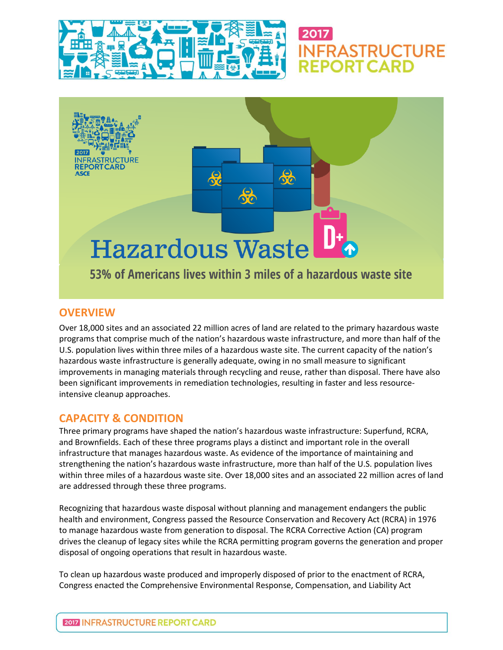

# 2017 **INFRASTRUCTURE FPORT CARD**



## **OVERVIEW**

Over 18,000 sites and an associated 22 million acres of land are related to the primary hazardous waste programs that comprise much of the nation's hazardous waste infrastructure, and more than half of the U.S. population lives within three miles of a hazardous waste site. The current capacity of the nation's hazardous waste infrastructure is generally adequate, owing in no small measure to significant improvements in managing materials through recycling and reuse, rather than disposal. There have also been significant improvements in remediation technologies, resulting in faster and less resourceintensive cleanup approaches.

# **CAPACITY & CONDITION**

Three primary programs have shaped the nation's hazardous waste infrastructure: Superfund, RCRA, and Brownfields. Each of these three programs plays a distinct and important role in the overall infrastructure that manages hazardous waste. As evidence of the importance of maintaining and strengthening the nation's hazardous waste infrastructure, more than half of the U.S. population lives within three miles of a hazardous waste site. Over 18,000 sites and an associated 22 million acres of land are addressed through these three programs.

Recognizing that hazardous waste disposal without planning and management endangers the public health and environment, Congress passed the Resource Conservation and Recovery Act (RCRA) in 1976 to manage hazardous waste from generation to disposal. The RCRA Corrective Action (CA) program drives the cleanup of legacy sites while the RCRA permitting program governs the generation and proper disposal of ongoing operations that result in hazardous waste.

To clean up hazardous waste produced and improperly disposed of prior to the enactment of RCRA, Congress enacted the Comprehensive Environmental Response, Compensation, and Liability Act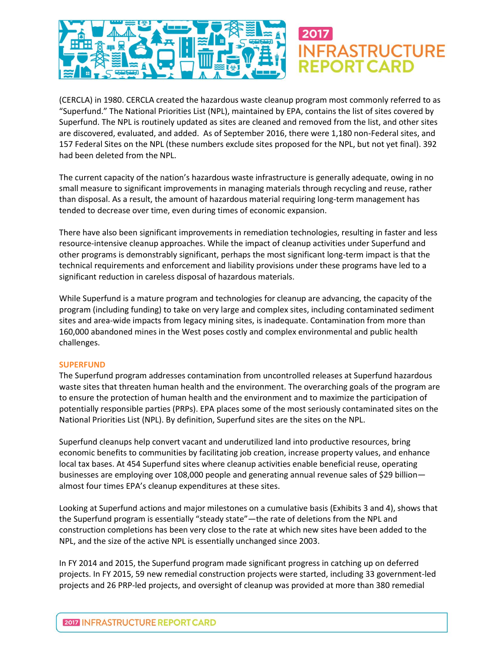

(CERCLA) in 1980. CERCLA created the hazardous waste cleanup program most commonly referred to as "Superfund." The National Priorities List (NPL), maintained by EPA, contains the list of sites covered by Superfund. The NPL is routinely updated as sites are cleaned and removed from the list, and other sites are discovered, evaluated, and added. As of September 2016, there were 1,180 non-Federal sites, and 157 Federal Sites on the NPL (these numbers exclude sites proposed for the NPL, but not yet final). 392 had been deleted from the NPL.

The current capacity of the nation's hazardous waste infrastructure is generally adequate, owing in no small measure to significant improvements in managing materials through recycling and reuse, rather than disposal. As a result, the amount of hazardous material requiring long-term management has tended to decrease over time, even during times of economic expansion.

There have also been significant improvements in remediation technologies, resulting in faster and less resource-intensive cleanup approaches. While the impact of cleanup activities under Superfund and other programs is demonstrably significant, perhaps the most significant long-term impact is that the technical requirements and enforcement and liability provisions under these programs have led to a significant reduction in careless disposal of hazardous materials.

While Superfund is a mature program and technologies for cleanup are advancing, the capacity of the program (including funding) to take on very large and complex sites, including contaminated sediment sites and area-wide impacts from legacy mining sites, is inadequate. Contamination from more than 160,000 abandoned mines in the West poses costly and complex environmental and public health challenges.

#### **SUPERFUND**

The Superfund program addresses contamination from uncontrolled releases at Superfund hazardous waste sites that threaten human health and the environment. The overarching goals of the program are to ensure the protection of human health and the environment and to maximize the participation of potentially responsible parties (PRPs). EPA places some of the most seriously contaminated sites on the National Priorities List (NPL). By definition, Superfund sites are the sites on the NPL.

Superfund cleanups help convert vacant and underutilized land into productive resources, bring economic benefits to communities by facilitating job creation, increase property values, and enhance local tax bases. At 454 Superfund sites where cleanup activities enable beneficial reuse, operating businesses are employing over 108,000 people and generating annual revenue sales of \$29 billion almost four times EPA's cleanup expenditures at these sites.

Looking at Superfund actions and major milestones on a cumulative basis (Exhibits 3 and 4), shows that the Superfund program is essentially "steady state"—the rate of deletions from the NPL and construction completions has been very close to the rate at which new sites have been added to the NPL, and the size of the active NPL is essentially unchanged since 2003.

In FY 2014 and 2015, the Superfund program made significant progress in catching up on deferred projects. In FY 2015, 59 new remedial construction projects were started, including 33 government-led projects and 26 PRP-led projects, and oversight of cleanup was provided at more than 380 remedial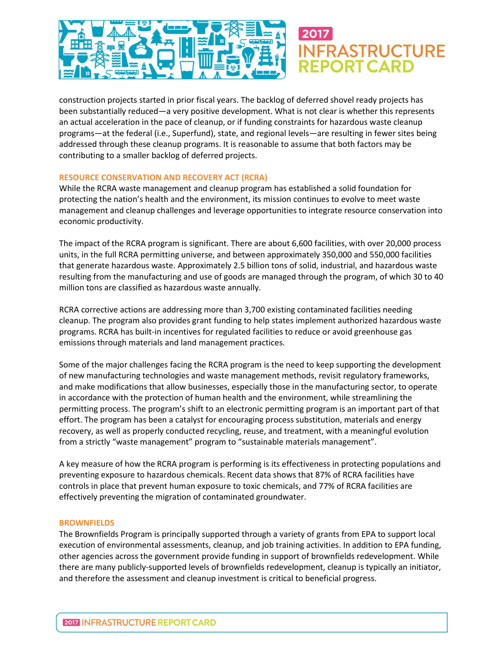

construction projects started in prior fiscal years. The backlog of deferred shovel ready projects has been substantially reduced—a very positive development. What is not clear is whether this represents an actual acceleration in the pace of cleanup, or if funding constraints for hazardous waste cleanup programs—at the federal (i.e., Superfund), state, and regional levels—are resulting in fewer sites being addressed through these cleanup programs. It is reasonable to assume that both factors may be contributing to a smaller backlog of deferred projects.

#### **RESOURCE CONSERVATION AND RECOVERY ACT (RCRA)**

While the RCRA waste management and cleanup program has established a solid foundation for protecting the nation's health and the environment, its mission continues to evolve to meet waste management and cleanup challenges and leverage opportunities to integrate resource conservation into economic productivity.

The impact of the RCRA program is significant. There are about 6,600 facilities, with over 20,000 process units, in the full RCRA permitting universe, and between approximately 350,000 and 550,000 facilities that generate hazardous waste. Approximately 2.5 billion tons of solid, industrial, and hazardous waste resulting from the manufacturing and use of goods are managed through the program, of which 30 to 40 million tons are classified as hazardous waste annually.

RCRA corrective actions are addressing more than 3,700 existing contaminated facilities needing cleanup. The program also provides grant funding to help states implement authorized hazardous waste programs. RCRA has built-in incentives for regulated facilities to reduce or avoid greenhouse gas emissions through materials and land management practices.

Some of the major challenges facing the RCRA program is the need to keep supporting the development of new manufacturing technologies and waste management methods, revisit regulatory frameworks, and make modifications that allow businesses, especially those in the manufacturing sector, to operate in accordance with the protection of human health and the environment, while streamlining the permitting process. The program's shift to an electronic permitting program is an important part of that effort. The program has been a catalyst for encouraging process substitution, materials and energy recovery, as well as properly conducted recycling, reuse, and treatment, with a meaningful evolution from a strictly "waste management" program to "sustainable materials management".

A key measure of how the RCRA program is performing is its effectiveness in protecting populations and preventing exposure to hazardous chemicals. Recent data shows that 87% of RCRA facilities have controls in place that prevent human exposure to toxic chemicals, and 77% of RCRA facilities are effectively preventing the migration of contaminated groundwater.

#### **BROWNFIELDS**

The Brownfields Program is principally supported through a variety of grants from EPA to support local execution of environmental assessments, cleanup, and job training activities. In addition to EPA funding, other agencies across the government provide funding in support of brownfields redevelopment. While there are many publicly-supported levels of brownfields redevelopment, cleanup is typically an initiator, and therefore the assessment and cleanup investment is critical to beneficial progress.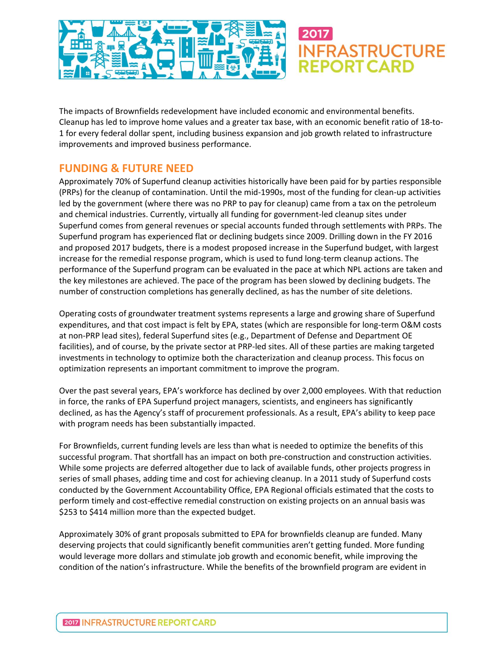

The impacts of Brownfields redevelopment have included economic and environmental benefits. Cleanup has led to improve home values and a greater tax base, with an economic benefit ratio of 18-to-1 for every federal dollar spent, including business expansion and job growth related to infrastructure improvements and improved business performance.

# **FUNDING & FUTURE NEED**

Approximately 70% of Superfund cleanup activities historically have been paid for by parties responsible (PRPs) for the cleanup of contamination. Until the mid-1990s, most of the funding for clean-up activities led by the government (where there was no PRP to pay for cleanup) came from a tax on the petroleum and chemical industries. Currently, virtually all funding for government-led cleanup sites under Superfund comes from general revenues or special accounts funded through settlements with PRPs. The Superfund program has experienced flat or declining budgets since 2009. Drilling down in the FY 2016 and proposed 2017 budgets, there is a modest proposed increase in the Superfund budget, with largest increase for the remedial response program, which is used to fund long-term cleanup actions. The performance of the Superfund program can be evaluated in the pace at which NPL actions are taken and the key milestones are achieved. The pace of the program has been slowed by declining budgets. The number of construction completions has generally declined, as has the number of site deletions.

Operating costs of groundwater treatment systems represents a large and growing share of Superfund expenditures, and that cost impact is felt by EPA, states (which are responsible for long-term O&M costs at non-PRP lead sites), federal Superfund sites (e.g., Department of Defense and Department OE facilities), and of course, by the private sector at PRP-led sites. All of these parties are making targeted investments in technology to optimize both the characterization and cleanup process. This focus on optimization represents an important commitment to improve the program.

Over the past several years, EPA's workforce has declined by over 2,000 employees. With that reduction in force, the ranks of EPA Superfund project managers, scientists, and engineers has significantly declined, as has the Agency's staff of procurement professionals. As a result, EPA's ability to keep pace with program needs has been substantially impacted.

For Brownfields, current funding levels are less than what is needed to optimize the benefits of this successful program. That shortfall has an impact on both pre-construction and construction activities. While some projects are deferred altogether due to lack of available funds, other projects progress in series of small phases, adding time and cost for achieving cleanup. In a 2011 study of Superfund costs conducted by the Government Accountability Office, EPA Regional officials estimated that the costs to perform timely and cost-effective remedial construction on existing projects on an annual basis was \$253 to \$414 million more than the expected budget.

Approximately 30% of grant proposals submitted to EPA for brownfields cleanup are funded. Many deserving projects that could significantly benefit communities aren't getting funded. More funding would leverage more dollars and stimulate job growth and economic benefit, while improving the condition of the nation's infrastructure. While the benefits of the brownfield program are evident in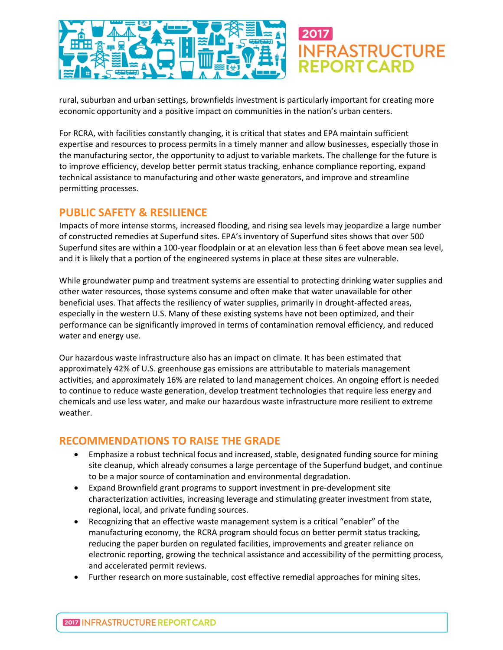

rural, suburban and urban settings, brownfields investment is particularly important for creating more economic opportunity and a positive impact on communities in the nation's urban centers.

For RCRA, with facilities constantly changing, it is critical that states and EPA maintain sufficient expertise and resources to process permits in a timely manner and allow businesses, especially those in the manufacturing sector, the opportunity to adjust to variable markets. The challenge for the future is to improve efficiency, develop better permit status tracking, enhance compliance reporting, expand technical assistance to manufacturing and other waste generators, and improve and streamline permitting processes.

## **PUBLIC SAFETY & RESILIENCE**

Impacts of more intense storms, increased flooding, and rising sea levels may jeopardize a large number of constructed remedies at Superfund sites. EPA's inventory of Superfund sites shows that over 500 Superfund sites are within a 100-year floodplain or at an elevation less than 6 feet above mean sea level, and it is likely that a portion of the engineered systems in place at these sites are vulnerable.

While groundwater pump and treatment systems are essential to protecting drinking water supplies and other water resources, those systems consume and often make that water unavailable for other beneficial uses. That affects the resiliency of water supplies, primarily in drought-affected areas, especially in the western U.S. Many of these existing systems have not been optimized, and their performance can be significantly improved in terms of contamination removal efficiency, and reduced water and energy use.

Our hazardous waste infrastructure also has an impact on climate. It has been estimated that approximately 42% of U.S. greenhouse gas emissions are attributable to materials management activities, and approximately 16% are related to land management choices. An ongoing effort is needed to continue to reduce waste generation, develop treatment technologies that require less energy and chemicals and use less water, and make our hazardous waste infrastructure more resilient to extreme weather.

# **RECOMMENDATIONS TO RAISE THE GRADE**

- Emphasize a robust technical focus and increased, stable, designated funding source for mining site cleanup, which already consumes a large percentage of the Superfund budget, and continue to be a major source of contamination and environmental degradation.
- Expand Brownfield grant programs to support investment in pre-development site characterization activities, increasing leverage and stimulating greater investment from state, regional, local, and private funding sources.
- Recognizing that an effective waste management system is a critical "enabler" of the manufacturing economy, the RCRA program should focus on better permit status tracking, reducing the paper burden on regulated facilities, improvements and greater reliance on electronic reporting, growing the technical assistance and accessibility of the permitting process, and accelerated permit reviews.
- Further research on more sustainable, cost effective remedial approaches for mining sites.